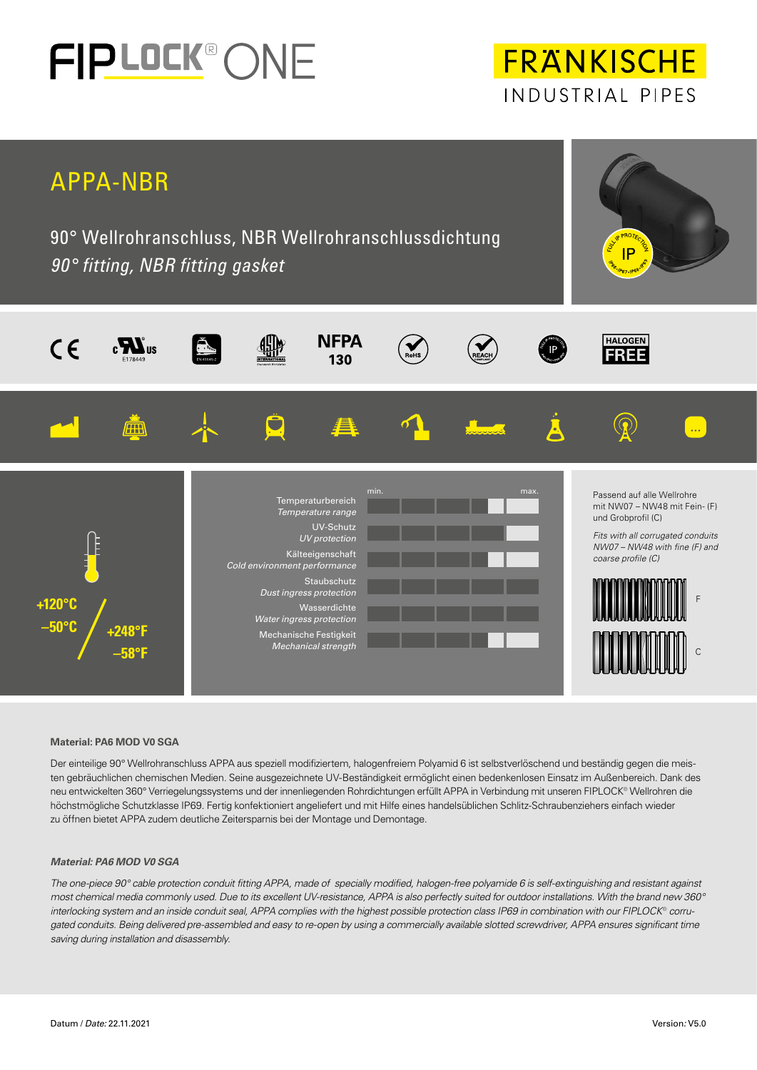

# **FRANKISCHE** INDUSTRIAL PIPES



## **Material: PA6 MOD V0 SGA**

Der einteilige 90° Wellrohranschluss APPA aus speziell modifiziertem, halogenfreiem Polyamid 6 ist selbstverlöschend und beständig gegen die meisten gebräuchlichen chemischen Medien. Seine ausgezeichnete UV-Beständigkeit ermöglicht einen bedenkenlosen Einsatz im Außenbereich. Dank des neu entwickelten 360° Verriegelungssystems und der innenliegenden Rohrdichtungen erfüllt APPA in Verbindung mit unseren FIPLOCK® Wellrohren die höchstmögliche Schutzklasse IP69. Fertig konfektioniert angeliefert und mit Hilfe eines handelsüblichen Schlitz-Schraubenziehers einfach wieder zu öffnen bietet APPA zudem deutliche Zeitersparnis bei der Montage und Demontage.

### *Material: PA6 MOD V0 SGA*

*The one-piece 90° cable protection conduit fitting APPA, made of specially modified, halogen-free polyamide 6 is self-extinguishing and resistant against most chemical media commonly used. Due to its excellent UV-resistance, APPA is also perfectly suited for outdoor installations. With the brand new 360° interlocking system and an inside conduit seal, APPA complies with the highest possible protection class IP69 in combination with our FIPLOCK*® *corrugated conduits. Being delivered pre-assembled and easy to re-open by using a commercially available slotted screwdriver, APPA ensures significant time saving during installation and disassembly.*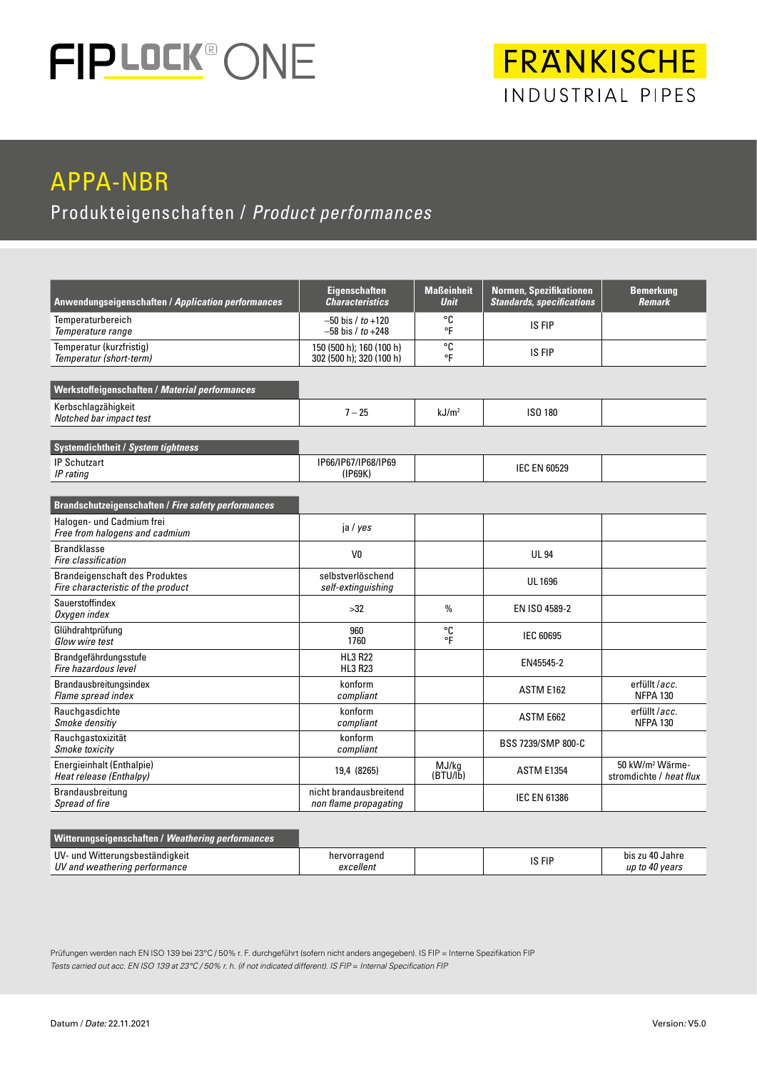

## APPA-NBR

Produkteigenschaften / *Product performances*

| Anwendungseigenschaften / Application performances                          | <b>Eigenschaften</b><br><b>Characteristics</b>       | <b>Maßeinheit</b><br><b>Unit</b> | Normen, Spezifikationen<br><b>Standards, specifications</b> | <b>Bemerkung</b><br><b>Remark</b>                      |  |
|-----------------------------------------------------------------------------|------------------------------------------------------|----------------------------------|-------------------------------------------------------------|--------------------------------------------------------|--|
| Temperaturbereich<br>Temperature range                                      | $-50$ bis / to $+120$<br>$-58$ bis $/10+248$         | ۰c<br>°F                         | IS FIP                                                      |                                                        |  |
| Temperatur (kurzfristig)<br>Temperatur (short-term)                         | 150 (500 h); 160 (100 h)<br>302 (500 h); 320 (100 h) | °C<br>°F                         | IS FIP                                                      |                                                        |  |
| Werkstoffeigenschaften / Material performances                              |                                                      |                                  |                                                             |                                                        |  |
| Kerbschlagzähigkeit<br>Notched bar impact test                              | $7 - 25$                                             | kJ/m <sup>2</sup>                | ISO 180                                                     |                                                        |  |
| <b>Systemdichtheit / System tightness</b>                                   |                                                      |                                  |                                                             |                                                        |  |
| <b>IP Schutzart</b><br>IP rating                                            | IP66/IP67/IP68/IP69<br>(IP69K)                       |                                  | <b>IEC EN 60529</b>                                         |                                                        |  |
| Brandschutzeigenschaften / Fire safety performances                         |                                                      |                                  |                                                             |                                                        |  |
| Halogen- und Cadmium frei<br>Free from halogens and cadmium                 | ja / yes                                             |                                  |                                                             |                                                        |  |
| <b>Brandklasse</b><br>Fire classification                                   | V <sub>0</sub>                                       |                                  | <b>UL 94</b>                                                |                                                        |  |
| <b>Brandeigenschaft des Produktes</b><br>Fire characteristic of the product | selbstverlöschend<br>self-extinguishing              |                                  | <b>UL1696</b>                                               |                                                        |  |
| Sauerstoffindex<br>Oxygen index                                             | >32                                                  | $\%$<br>EN ISO 4589-2            |                                                             |                                                        |  |
| Glühdrahtprüfung<br>Glow wire test                                          | 960<br>1760                                          | °C<br>°F                         | IEC 60695                                                   |                                                        |  |
| Brandgefährdungsstufe<br>Fire hazardous level                               | <b>HL3 R22</b><br><b>HL3 R23</b>                     |                                  | EN45545-2                                                   |                                                        |  |
| Brandausbreitungsindex<br>Flame spread index                                | konform<br>compliant                                 |                                  | ASTM E162                                                   | erfüllt /acc.<br><b>NFPA 130</b>                       |  |
| Rauchgasdichte<br>Smoke densitiv                                            | konform<br>compliant                                 |                                  | ASTM E662                                                   | erfüllt /acc.<br><b>NFPA 130</b>                       |  |
| Rauchgastoxizität<br>Smoke toxicity                                         | konform<br>compliant                                 |                                  | BSS 7239/SMP 800-C                                          |                                                        |  |
| Energieinhalt (Enthalpie)<br>Heat release (Enthalpy)                        | 19,4 (8265)                                          | MJ/kg<br>(BTU/lb)                | <b>ASTM E1354</b>                                           | 50 kW/m <sup>2</sup> Wärme-<br>stromdichte / heat flux |  |
| Brandausbreitung<br>Spread of fire                                          | nicht brandausbreitend<br>non flame propagating      |                                  | <b>IEC EN 61386</b>                                         |                                                        |  |

## **Witterungseigenschaften /** *Weathering performances*

| UV-<br>eständiokeit<br>un<br>ww<br>.ner<br>ʻlir<br>. .<br>. .<br>$\sim$ | rrageno<br>nei | 0.01<br>. | . .<br>) Jahre<br>bis |
|-------------------------------------------------------------------------|----------------|-----------|-----------------------|
| שו<br>anr<br>tormanc<br>m                                               | excellent      | וו ו טו   | ШD<br>vear<br>7U      |

Prüfungen werden nach EN ISO 139 bei 23°C / 50% r. F. durchgeführt (sofern nicht anders angegeben). IS FIP = Interne Spezifikation FIP *Tests carried out acc. EN ISO 139 at 23°C / 50% r. h. (if not indicated different). IS FIP = Internal Specification FIP*